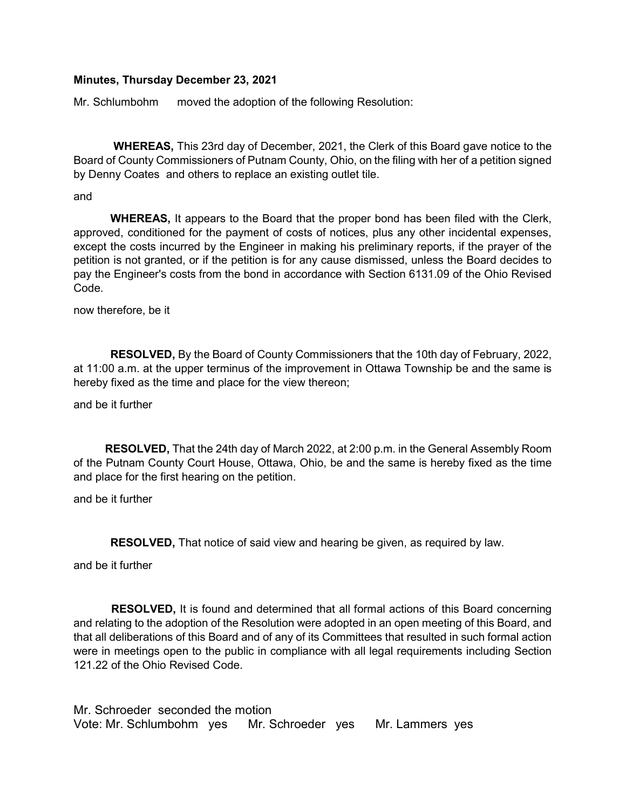### Minutes, Thursday December 23, 2021

Mr. Schlumbohm moved the adoption of the following Resolution:

 WHEREAS, This 23rd day of December, 2021, the Clerk of this Board gave notice to the Board of County Commissioners of Putnam County, Ohio, on the filing with her of a petition signed by Denny Coates and others to replace an existing outlet tile.

and

 WHEREAS, It appears to the Board that the proper bond has been filed with the Clerk, approved, conditioned for the payment of costs of notices, plus any other incidental expenses, except the costs incurred by the Engineer in making his preliminary reports, if the prayer of the petition is not granted, or if the petition is for any cause dismissed, unless the Board decides to pay the Engineer's costs from the bond in accordance with Section 6131.09 of the Ohio Revised Code.

now therefore, be it

 RESOLVED, By the Board of County Commissioners that the 10th day of February, 2022, at 11:00 a.m. at the upper terminus of the improvement in Ottawa Township be and the same is hereby fixed as the time and place for the view thereon;

and be it further

 RESOLVED, That the 24th day of March 2022, at 2:00 p.m. in the General Assembly Room of the Putnam County Court House, Ottawa, Ohio, be and the same is hereby fixed as the time and place for the first hearing on the petition.

and be it further

RESOLVED, That notice of said view and hearing be given, as required by law.

and be it further

 RESOLVED, It is found and determined that all formal actions of this Board concerning and relating to the adoption of the Resolution were adopted in an open meeting of this Board, and that all deliberations of this Board and of any of its Committees that resulted in such formal action were in meetings open to the public in compliance with all legal requirements including Section 121.22 of the Ohio Revised Code.

Mr. Schroeder seconded the motion Vote: Mr. Schlumbohm yes Mr. Schroeder yes Mr. Lammers yes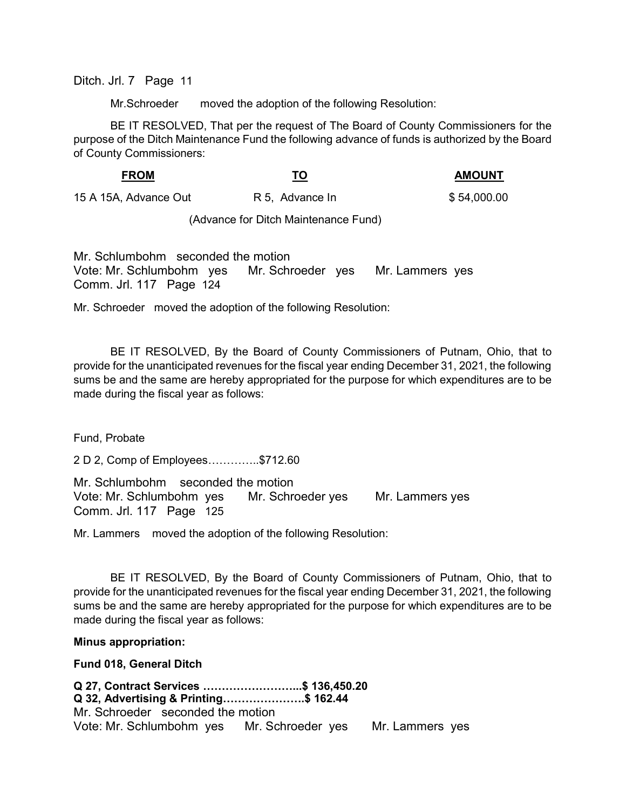Ditch. Jrl. 7 Page 11

Mr.Schroeder moved the adoption of the following Resolution:

 BE IT RESOLVED, That per the request of The Board of County Commissioners for the purpose of the Ditch Maintenance Fund the following advance of funds is authorized by the Board of County Commissioners:

#### FROM TO TO AMOUNT

15 A 15A, Advance Out R 5, Advance In \$ 54,000.00

(Advance for Ditch Maintenance Fund)

Mr. Schlumbohm seconded the motion Vote: Mr. Schlumbohm yes Mr. Schroeder yes Mr. Lammers yes Comm. Jrl. 117 Page 124

Mr. Schroeder moved the adoption of the following Resolution:

 BE IT RESOLVED, By the Board of County Commissioners of Putnam, Ohio, that to provide for the unanticipated revenues for the fiscal year ending December 31, 2021, the following sums be and the same are hereby appropriated for the purpose for which expenditures are to be made during the fiscal year as follows:

Fund, Probate

2 D 2, Comp of Employees…………..\$712.60

Mr. Schlumbohm seconded the motion Vote: Mr. Schlumbohm yes Mr. Schroeder yes Mr. Lammers yes Comm. Jrl. 117 Page 125

Mr. Lammers moved the adoption of the following Resolution:

 BE IT RESOLVED, By the Board of County Commissioners of Putnam, Ohio, that to provide for the unanticipated revenues for the fiscal year ending December 31, 2021, the following sums be and the same are hereby appropriated for the purpose for which expenditures are to be made during the fiscal year as follows:

#### Minus appropriation:

Fund 018, General Ditch

Q 27, Contract Services ……………………...\$ 136,450.20 Q 32, Advertising & Printing………………….\$ 162.44 Mr. Schroeder seconded the motion Vote: Mr. Schlumbohm yes Mr. Schroeder yes Mr. Lammers yes